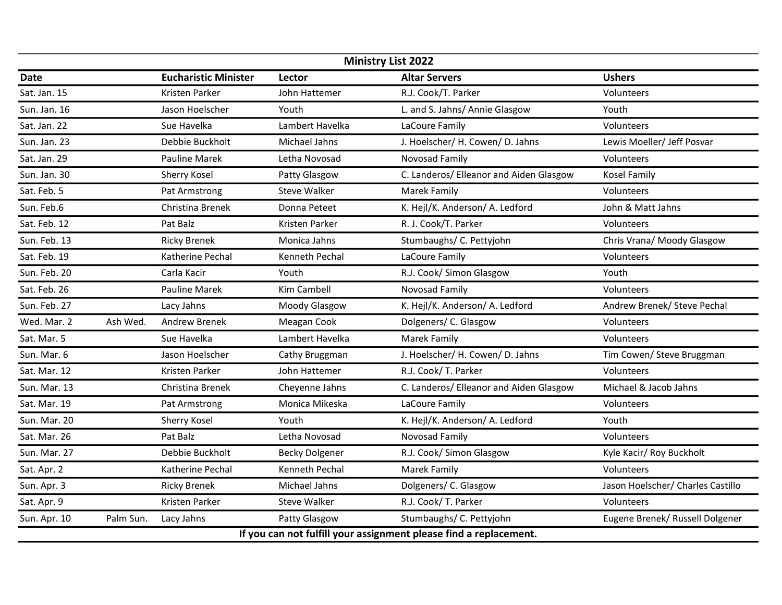| <b>Ministry List 2022</b>                                         |           |                             |                       |                                         |                                   |  |  |  |
|-------------------------------------------------------------------|-----------|-----------------------------|-----------------------|-----------------------------------------|-----------------------------------|--|--|--|
| <b>Date</b>                                                       |           | <b>Eucharistic Minister</b> | Lector                | <b>Altar Servers</b>                    | <b>Ushers</b>                     |  |  |  |
| Sat. Jan. 15                                                      |           | <b>Kristen Parker</b>       | John Hattemer         | R.J. Cook/T. Parker                     | Volunteers                        |  |  |  |
| Sun. Jan. 16                                                      |           | Jason Hoelscher             | Youth                 | L. and S. Jahns/ Annie Glasgow          | Youth                             |  |  |  |
| Sat. Jan. 22                                                      |           | Sue Havelka                 | Lambert Havelka       | LaCoure Family                          | Volunteers                        |  |  |  |
| Sun. Jan. 23                                                      |           | Debbie Buckholt             | Michael Jahns         | J. Hoelscher/ H. Cowen/ D. Jahns        | Lewis Moeller/ Jeff Posvar        |  |  |  |
| Sat. Jan. 29                                                      |           | <b>Pauline Marek</b>        | Letha Novosad         | Novosad Family                          | Volunteers                        |  |  |  |
| Sun. Jan. 30                                                      |           | Sherry Kosel                | Patty Glasgow         | C. Landeros/ Elleanor and Aiden Glasgow | Kosel Family                      |  |  |  |
| Sat. Feb. 5                                                       |           | Pat Armstrong               | <b>Steve Walker</b>   | Marek Family                            | Volunteers                        |  |  |  |
| Sun. Feb.6                                                        |           | Christina Brenek            | Donna Peteet          | K. Hejl/K. Anderson/ A. Ledford         | John & Matt Jahns                 |  |  |  |
| Sat. Feb. 12                                                      |           | Pat Balz                    | Kristen Parker        | R. J. Cook/T. Parker                    | Volunteers                        |  |  |  |
| Sun. Feb. 13                                                      |           | <b>Ricky Brenek</b>         | Monica Jahns          | Stumbaughs/ C. Pettyjohn                | Chris Vrana/ Moody Glasgow        |  |  |  |
| Sat. Feb. 19                                                      |           | Katherine Pechal            | Kenneth Pechal        | LaCoure Family                          | Volunteers                        |  |  |  |
| Sun. Feb. 20                                                      |           | Carla Kacir                 | Youth                 | R.J. Cook/ Simon Glasgow                | Youth                             |  |  |  |
| Sat. Feb. 26                                                      |           | Pauline Marek               | Kim Cambell           | Novosad Family                          | Volunteers                        |  |  |  |
| Sun. Feb. 27                                                      |           | Lacy Jahns                  | Moody Glasgow         | K. Hejl/K. Anderson/ A. Ledford         | Andrew Brenek/ Steve Pechal       |  |  |  |
| Wed. Mar. 2                                                       | Ash Wed.  | <b>Andrew Brenek</b>        | Meagan Cook           | Dolgeners/ C. Glasgow                   | Volunteers                        |  |  |  |
| Sat. Mar. 5                                                       |           | Sue Havelka                 | Lambert Havelka       | Marek Family                            | Volunteers                        |  |  |  |
| Sun. Mar. 6                                                       |           | Jason Hoelscher             | Cathy Bruggman        | J. Hoelscher/ H. Cowen/ D. Jahns        | Tim Cowen/ Steve Bruggman         |  |  |  |
| Sat. Mar. 12                                                      |           | Kristen Parker              | John Hattemer         | R.J. Cook/ T. Parker                    | Volunteers                        |  |  |  |
| Sun. Mar. 13                                                      |           | Christina Brenek            | Cheyenne Jahns        | C. Landeros/ Elleanor and Aiden Glasgow | Michael & Jacob Jahns             |  |  |  |
| Sat. Mar. 19                                                      |           | Pat Armstrong               | Monica Mikeska        | LaCoure Family                          | Volunteers                        |  |  |  |
| Sun. Mar. 20                                                      |           | Sherry Kosel                | Youth                 | K. Hejl/K. Anderson/ A. Ledford         | Youth                             |  |  |  |
| Sat. Mar. 26                                                      |           | Pat Balz                    | Letha Novosad         | Novosad Family                          | Volunteers                        |  |  |  |
| Sun. Mar. 27                                                      |           | Debbie Buckholt             | <b>Becky Dolgener</b> | R.J. Cook/ Simon Glasgow                | Kyle Kacir/ Roy Buckholt          |  |  |  |
| Sat. Apr. 2                                                       |           | Katherine Pechal            | Kenneth Pechal        | <b>Marek Family</b>                     | Volunteers                        |  |  |  |
| Sun. Apr. 3                                                       |           | <b>Ricky Brenek</b>         | Michael Jahns         | Dolgeners/ C. Glasgow                   | Jason Hoelscher/ Charles Castillo |  |  |  |
| Sat. Apr. 9                                                       |           | Kristen Parker              | <b>Steve Walker</b>   | R.J. Cook/ T. Parker                    | Volunteers                        |  |  |  |
| Sun. Apr. 10                                                      | Palm Sun. | Lacy Jahns                  | Patty Glasgow         | Stumbaughs/ C. Pettyjohn                | Eugene Brenek/ Russell Dolgener   |  |  |  |
| If you can not fulfill your assignment please find a replacement. |           |                             |                       |                                         |                                   |  |  |  |